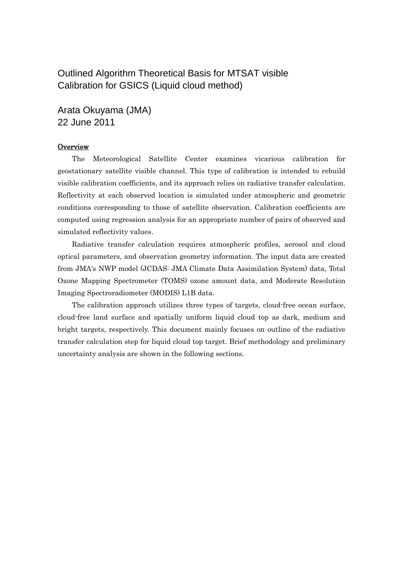## Outlined Algorithm Theoretical Basis for MTSAT visible Calibration for GSICS (Liquid cloud method)

Arata Okuyama (JMA) 22 June 2011

## **Overview**

The Meteorological Satellite Center examines vicarious calibration for geostationary satellite visible channel. This type of calibration is intended to rebuild visible calibration coefficients, and its approach relies on radiative transfer calculation. Reflectivity at each observed location is simulated under atmospheric and geometric conditions corresponding to those of satellite observation. Calibration coefficients are computed using regression analysis for an appropriate number of pairs of observed and simulated reflectivity values.

Radiative transfer calculation requires atmospheric profiles, aerosol and cloud optical parameters, and observation geometry information. The input data are created from JMA's NWP model (JCDAS: JMA Climate Data Assimilation System) data, Total Ozone Mapping Spectrometer (TOMS) ozone amount data, and Moderate Resolution Imaging Spectroradiometer (MODIS) L1B data.

The calibration approach utilizes three types of targets, cloud-free ocean surface, cloud-free land surface and spatially uniform liquid cloud top as dark, medium and bright targets, respectively. This document mainly focuses on outline of the radiative transfer calculation step for liquid cloud top target. Brief methodology and preliminary uncertainty analysis are shown in the following sections.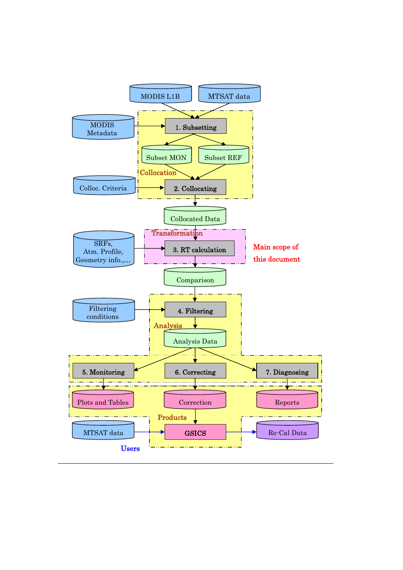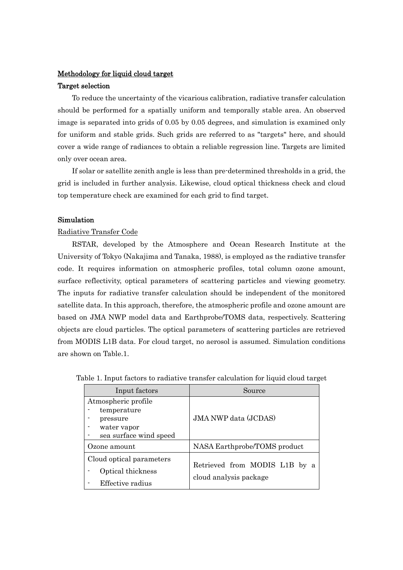# Methodology for liquid cloud target

## Target selection

To reduce the uncertainty of the vicarious calibration, radiative transfer calculation should be performed for a spatially uniform and temporally stable area. An observed image is separated into grids of 0.05 by 0.05 degrees, and simulation is examined only for uniform and stable grids. Such grids are referred to as "targets" here, and should cover a wide range of radiances to obtain a reliable regression line. Targets are limited only over ocean area.

If solar or satellite zenith angle is less than pre-determined thresholds in a grid, the grid is included in further analysis. Likewise, cloud optical thickness check and cloud top temperature check are examined for each grid to find target.

## Simulation

## Radiative Transfer Code

RSTAR, developed by the Atmosphere and Ocean Research Institute at the University of Tokyo (Nakajima and Tanaka, 1988), is employed as the radiative transfer code. It requires information on atmospheric profiles, total column ozone amount, surface reflectivity, optical parameters of scattering particles and viewing geometry. The inputs for radiative transfer calculation should be independent of the monitored satellite data. In this approach, therefore, the atmospheric profile and ozone amount are based on JMA NWP model data and Earthprobe/TOMS data, respectively. Scattering objects are cloud particles. The optical parameters of scattering particles are retrieved from MODIS L1B data. For cloud target, no aerosol is assumed. Simulation conditions are shown on Table.1.

| Input factors                                                                           | Source                                                  |  |  |
|-----------------------------------------------------------------------------------------|---------------------------------------------------------|--|--|
| Atmospheric profile<br>temperature<br>pressure<br>water vapor<br>sea surface wind speed | <b>JMA NWP</b> data (JCDAS)                             |  |  |
| Ozone amount                                                                            | NASA Earthprobe/TOMS product                            |  |  |
| Cloud optical parameters<br>Optical thickness<br>Effective radius                       | Retrieved from MODIS L1B by a<br>cloud analysis package |  |  |

|  |  | Table 1. Input factors to radiative transfer calculation for liquid cloud target |  |  |  |
|--|--|----------------------------------------------------------------------------------|--|--|--|
|  |  |                                                                                  |  |  |  |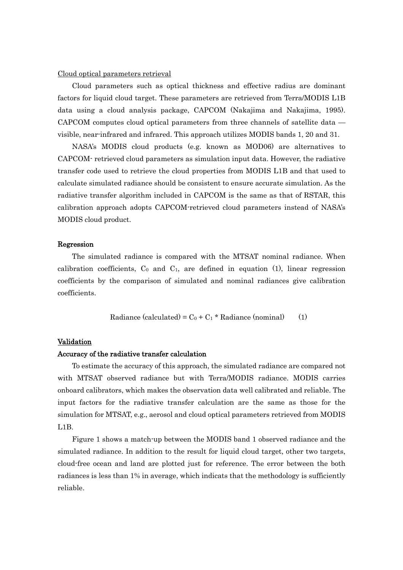#### Cloud optical parameters retrieval

Cloud parameters such as optical thickness and effective radius are dominant factors for liquid cloud target. These parameters are retrieved from Terra/MODIS L1B data using a cloud analysis package, CAPCOM (Nakajima and Nakajima, 1995). CAPCOM computes cloud optical parameters from three channels of satellite data visible, near-infrared and infrared. This approach utilizes MODIS bands 1, 20 and 31.

NASA's MODIS cloud products (e.g. known as MOD06) are alternatives to CAPCOM- retrieved cloud parameters as simulation input data. However, the radiative transfer code used to retrieve the cloud properties from MODIS L1B and that used to calculate simulated radiance should be consistent to ensure accurate simulation. As the radiative transfer algorithm included in CAPCOM is the same as that of RSTAR, this calibration approach adopts CAPCOM-retrieved cloud parameters instead of NASA's MODIS cloud product.

#### Regression

The simulated radiance is compared with the MTSAT nominal radiance. When calibration coefficients,  $C_0$  and  $C_1$ , are defined in equation (1), linear regression coefficients by the comparison of simulated and nominal radiances give calibration coefficients.

$$
Radioance (calculated) = C_0 + C_1 * Radioance (nominal)
$$
 (1)

#### Validation

#### Accuracy of the radiative transfer calculation

To estimate the accuracy of this approach, the simulated radiance are compared not with MTSAT observed radiance but with Terra/MODIS radiance. MODIS carries onboard calibrators, which makes the observation data well calibrated and reliable. The input factors for the radiative transfer calculation are the same as those for the simulation for MTSAT, e.g., aerosol and cloud optical parameters retrieved from MODIS L1B.

Figure 1 shows a match-up between the MODIS band 1 observed radiance and the simulated radiance. In addition to the result for liquid cloud target, other two targets, cloud-free ocean and land are plotted just for reference. The error between the both radiances is less than 1% in average, which indicats that the methodology is sufficiently reliable.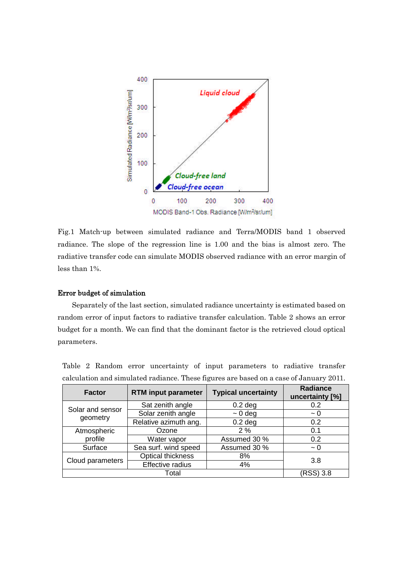

Fig.1 Match-up between simulated radiance and Terra/MODIS band 1 observed radiance. The slope of the regression line is 1.00 and the bias is almost zero. The radiative transfer code can simulate MODIS observed radiance with an error margin of less than 1%.

## Error budget of simulation

Separately of the last section, simulated radiance uncertainty is estimated based on random error of input factors to radiative transfer calculation. Table 2 shows an error budget for a month. We can find that the dominant factor is the retrieved cloud optical parameters.

| <b>Factor</b>                | <b>RTM</b> input parameter         | <b>Typical uncertainty</b> | <b>Radiance</b><br>uncertainty [%] |  |
|------------------------------|------------------------------------|----------------------------|------------------------------------|--|
| Solar and sensor<br>geometry | Sat zenith angle                   | $0.2$ deg                  | 0.2                                |  |
|                              | Solar zenith angle<br>$\sim 0$ deg |                            | $\sim 0$                           |  |
|                              | Relative azimuth ang.<br>$0.2$ deg |                            | 0.2                                |  |
| Atmospheric                  | Ozone                              | 2%                         | 0.1                                |  |
| profile                      | Water vapor                        | Assumed 30 %               | 0.2                                |  |
| Surface                      | Sea surf. wind speed               | Assumed 30 %               | $\sim 0$                           |  |
|                              | Optical thickness<br>8%            |                            | 3.8                                |  |
| Cloud parameters             | Effective radius                   |                            |                                    |  |
|                              | Total                              |                            | (RSS) 3.8                          |  |

Table 2 Random error uncertainty of input parameters to radiative transfer calculation and simulated radiance. These figures are based on a case of January 2011.